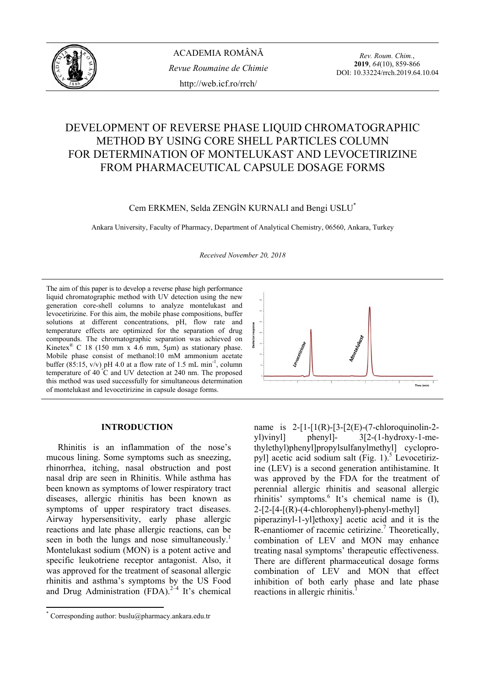

# DEVELOPMENT OF REVERSE PHASE LIQUID CHROMATOGRAPHIC METHOD BY USING CORE SHELL PARTICLES COLUMN FOR DETERMINATION OF MONTELUKAST AND LEVOCETIRIZINE FROM PHARMACEUTICAL CAPSULE DOSAGE FORMS

Cem ERKMEN, Selda ZENGİN KURNALI and Bengi USLU\*

Ankara University, Faculty of Pharmacy, Department of Analytical Chemistry, 06560, Ankara, Turkey

*Received November 20, 2018* 

The aim of this paper is to develop a reverse phase high performance liquid chromatographic method with UV detection using the new generation core-shell columns to analyze montelukast and levocetirizine. For this aim, the mobile phase compositions, buffer solutions at different concentrations, pH, flow rate and temperature effects are optimized for the separation of drug compounds. The chromatographic separation was achieved on Kinetex<sup>®</sup> C 18 (150 mm x 4.6 mm, 5 $\mu$ m) as stationary phase. Mobile phase consist of methanol:10 mM ammonium acetate buffer  $(85:15, v/v)$  pH 4.0 at a flow rate of 1.5 mL min<sup>-1</sup>, column temperature of 40  $\degree$ C and UV detection at 240 nm. The proposed this method was used successfully for simultaneous determination of montelukast and levocetirizine in capsule dosage forms.

## **INTRODUCTION\***

Rhinitis is an inflammation of the nose's mucous lining. Some symptoms such as sneezing, rhinorrhea, itching, nasal obstruction and post nasal drip are seen in Rhinitis. While asthma has been known as symptoms of lower respiratory tract diseases, allergic rhinitis has been known as symptoms of upper respiratory tract diseases. Airway hypersensitivity, early phase allergic reactions and late phase allergic reactions, can be seen in both the lungs and nose simultaneously.<sup>1</sup> Montelukast sodium (MON) is a potent active and specific leukotriene receptor antagonist. Also, it was approved for the treatment of seasonal allergic rhinitis and asthma's symptoms by the US Food and Drug Administration  $(FDA)^{2-4}$  It's chemical



name is  $2-[1-[1(R)-[3-[2(E)-(7-chloroquinolin-2$ yl)vinyl] phenyl]- 3[2-(1-hydroxy-1-methylethyl)phenyl]propylsulfanylmethyl] cyclopropyl] acetic acid sodium salt (Fig. 1).<sup>5</sup> Levocetirizine (LEV) is a second generation antihistamine. It was approved by the FDA for the treatment of perennial allergic rhinitis and seasonal allergic rhinitis' symptoms.<sup>6</sup> It's chemical name is  $(I)$ ,  $2-[2-[4-[(R)-(4-chlorophenyl)-phenyl-methyl]]$ piperazinyl-1-yl]ethoxy] acetic acid and it is the  $R$ -enantiomer of racemic cetirizine.<sup>7</sup> Theoretically, combination of LEV and MON may enhance treating nasal symptoms' therapeutic effectiveness. There are different pharmaceutical dosage forms combination of LEV and MON that effect inhibition of both early phase and late phase reactions in allergic rhinitis.<sup>1</sup>

<sup>\*</sup> Corresponding author: buslu@pharmacy.ankara.edu.tr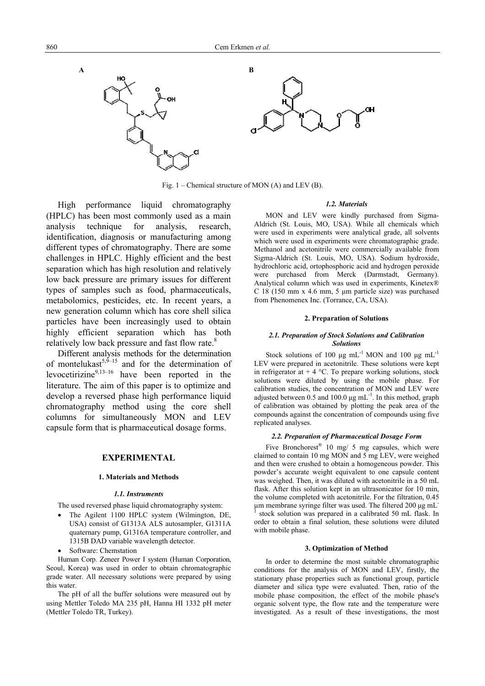

Fig. 1 – Chemical structure of MON (A) and LEV (B).

High performance liquid chromatography (HPLC) has been most commonly used as a main analysis technique for analysis, research, identification, diagnosis or manufacturing among different types of chromatography. There are some challenges in HPLC. Highly efficient and the best separation which has high resolution and relatively low back pressure are primary issues for different types of samples such as food, pharmaceuticals, metabolomics, pesticides, etc. In recent years, a new generation column which has core shell silica particles have been increasingly used to obtain highly efficient separation which has both relatively low back pressure and fast flow rate.<sup>8</sup>

Different analysis methods for the determination of montelukast<sup>5,9–15</sup> and for the determination of levocetirizine<sup>9,13–16</sup> have been reported in the literature. The aim of this paper is to optimize and develop a reversed phase high performance liquid chromatography method using the core shell columns for simultaneously MON and LEV capsule form that is pharmaceutical dosage forms.

## **EXPERIMENTAL**

#### **1. Materials and Methods**

#### *1.1. Instruments*

The used reversed phase liquid chromatography system:

- The Agilent 1100 HPLC system (Wilmington, DE, USA) consist of G1313A ALS autosampler, G1311A quaternary pump, G1316A temperature controller, and 1315B DAD variable wavelength detector.
- Software: Chemstation

Human Corp. Zeneer Power I system (Human Corporation, Seoul, Korea) was used in order to obtain chromatographic grade water. All necessary solutions were prepared by using this water.

The pH of all the buffer solutions were measured out by using Mettler Toledo MA 235 pH, Hanna HI 1332 pH meter (Mettler Toledo TR, Turkey).

#### *1.2. Materials*

MON and LEV were kindly purchased from Sigma-Aldrich (St. Louis, MO, USA). While all chemicals which were used in experiments were analytical grade, all solvents which were used in experiments were chromatographic grade. Methanol and acetonitrile were commercially available from Sigma-Aldrich (St. Louis, MO, USA). Sodium hydroxide, hydrochloric acid, ortophosphoric acid and hydrogen peroxide were purchased from Merck (Darmstadt, Germany). Analytical column which was used in experiments, Kinetex® C 18 (150 mm x 4.6 mm, 5 μm particle size) was purchased from Phenomenex Inc. (Torrance, CA, USA).

### **2. Preparation of Solutions**

#### *2.1. Preparation of Stock Solutions and Calibration Solutions*

Stock solutions of 100 μg mL<sup>-1</sup> MON and 100 μg mL<sup>-1</sup> LEV were prepared in acetonitrile. These solutions were kept in refrigerator at  $+ 4 \degree C$ . To prepare working solutions, stock solutions were diluted by using the mobile phase. For calibration studies, the concentration of MON and LEV were adjusted between  $0.5$  and  $100.0 \mu g \text{ mL}^{-1}$ . In this method, graph of calibration was obtained by plotting the peak area of the compounds against the concentration of compounds using five replicated analyses.

#### *2.2. Preparation of Pharmaceutical Dosage Form*

Five Bronchorest<sup>®</sup> 10 mg/ 5 mg capsules, which were claimed to contain 10 mg MON and 5 mg LEV, were weighed and then were crushed to obtain a homogeneous powder. This powder's accurate weight equivalent to one capsule content was weighed. Then, it was diluted with acetonitrile in a 50 mL flask. After this solution kept in an ultrasonicator for 10 min, the volume completed with acetonitrile. For the filtration, 0.45 µm membrane syringe filter was used. The filtered 200 μg mL-1 stock solution was prepared in a calibrated 50 mL flask. In order to obtain a final solution, these solutions were diluted with mobile phase.

#### **3. Optimization of Method**

In order to determine the most suitable chromatographic conditions for the analysis of MON and LEV, firstly, the stationary phase properties such as functional group, particle diameter and silica type were evaluated. Then, ratio of the mobile phase composition, the effect of the mobile phase's organic solvent type, the flow rate and the temperature were investigated. As a result of these investigations, the most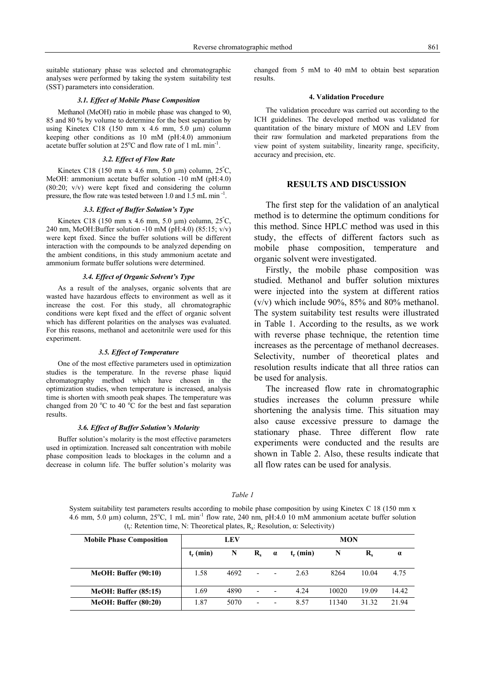suitable stationary phase was selected and chromatographic analyses were performed by taking the system suitability test (SST) parameters into consideration.

#### *3.1. Effect of Mobile Phase Composition*

Methanol (MeOH) ratio in mobile phase was changed to 90, 85 and 80 % by volume to determine for the best separation by using Kinetex C18 (150 mm x 4.6 mm, 5.0  $\mu$ m) column keeping other conditions as 10 mM (pH:4.0) ammonium acetate buffer solution at  $25^{\circ}$ C and flow rate of 1 mL min<sup>-1</sup>.

#### *3.2. Effect of Flow Rate*

Kinetex C18 (150 mm x 4.6 mm, 5.0  $\mu$ m) column, 25°C, MeOH: ammonium acetate buffer solution -10 mM (pH:4.0) (80:20; v/v) were kept fixed and considering the column pressure, the flow rate was tested between 1.0 and 1.5 mL min  $\overline{1}$ 

#### *3.3. Effect of Buffer Solution's Type*

Kinetex C18 (150 mm x 4.6 mm, 5.0  $\mu$ m) column, 25°C, 240 nm, MeOH:Buffer solution -10 mM (pH:4.0) (85:15; v/v) were kept fixed. Since the buffer solutions will be different interaction with the compounds to be analyzed depending on the ambient conditions, in this study ammonium acetate and ammonium formate buffer solutions were determined.

#### *3.4. Effect of Organic Solvent's Type*

As a result of the analyses, organic solvents that are wasted have hazardous effects to environment as well as it increase the cost. For this study, all chromatographic conditions were kept fixed and the effect of organic solvent which has different polarities on the analyses was evaluated. For this reasons, methanol and acetonitrile were used for this experiment.

#### *3.5. Effect of Temperature*

One of the most effective parameters used in optimization studies is the temperature. In the reverse phase liquid chromatography method which have chosen in the optimization studies, when temperature is increased, analysis time is shorten with smooth peak shapes. The temperature was changed from 20  $\rm{^oC}$  to 40  $\rm{^oC}$  for the best and fast separation results.

#### *3.6. Effect of Buffer Solution's Molarity*

Buffer solution's molarity is the most effective parameters used in optimization. Increased salt concentration with mobile phase composition leads to blockages in the column and a decrease in column life. The buffer solution's molarity was changed from 5 mM to 40 mM to obtain best separation results.

## **4. Validation Procedure**

The validation procedure was carried out according to the ICH guidelines. The developed method was validated for quantitation of the binary mixture of MON and LEV from their raw formulation and marketed preparations from the view point of system suitability, linearity range, specificity, accuracy and precision, etc.

## **RESULTS AND DISCUSSION**

The first step for the validation of an analytical method is to determine the optimum conditions for this method. Since HPLC method was used in this study, the effects of different factors such as mobile phase composition, temperature and organic solvent were investigated.

Firstly, the mobile phase composition was studied. Methanol and buffer solution mixtures were injected into the system at different ratios (v/v) which include 90%, 85% and 80% methanol. The system suitability test results were illustrated in Table 1. According to the results, as we work with reverse phase technique, the retention time increases as the percentage of methanol decreases. Selectivity, number of theoretical plates and resolution results indicate that all three ratios can be used for analysis.

The increased flow rate in chromatographic studies increases the column pressure while shortening the analysis time. This situation may also cause excessive pressure to damage the stationary phase. Three different flow rate experiments were conducted and the results are shown in Table 2. Also, these results indicate that all flow rates can be used for analysis.

System suitability test parameters results according to mobile phase composition by using Kinetex C 18 (150 mm x 4.6 mm, 5.0  $\mu$ m) column, 25°C, 1 mL min<sup>-1</sup> flow rate, 240 nm, pH:4.0 10 mM ammonium acetate buffer solution (t.: Retention time, N: Theoretical plates, R.: Resolution,  $\alpha$ : Selectivity)

*Table 1*

| <b>Mobile Phase Composition</b> | <b>LEV</b>  |      |                          |          | <b>MON</b>  |       |                         |          |
|---------------------------------|-------------|------|--------------------------|----------|-------------|-------|-------------------------|----------|
|                                 | $t_r$ (min) | N    | $\mathbf{R}_{\epsilon}$  | $\alpha$ | $t_r$ (min) | N     | $\mathbf{R}_{\epsilon}$ | $\alpha$ |
| <b>MeOH: Buffer (90:10)</b>     | 1.58        | 4692 | $\overline{\phantom{0}}$ |          | 2.63        | 8264  | 10.04                   | 4.75     |
| <b>MeOH: Buffer (85:15)</b>     | 1.69        | 4890 | $\overline{\phantom{0}}$ |          | 4.24        | 10020 | 19.09                   | 14.42    |
| <b>MeOH: Buffer (80:20)</b>     | 1.87        | 5070 | $\overline{\phantom{0}}$ |          | 8.57        | 11340 | 31.32                   | 21.94    |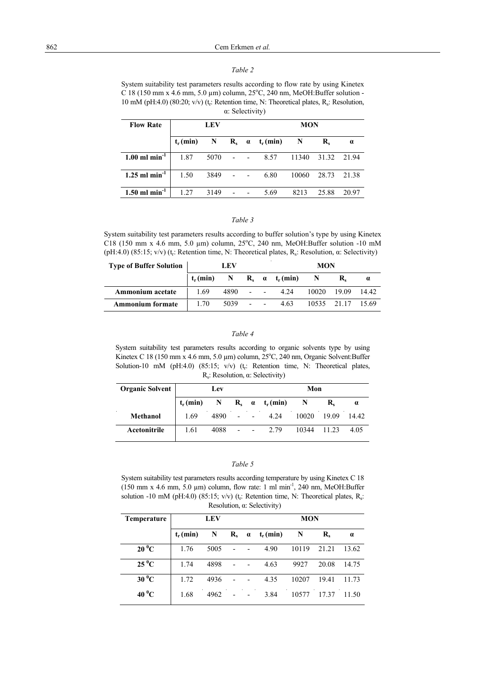### *Table 2*

System suitability test parameters results according to flow rate by using Kinetex C 18 (150 mm x 4.6 mm, 5.0  $\mu$ m) column, 25°C, 240 nm, MeOH:Buffer solution -10 mM (pH:4.0) (80:20; v/v) ( $t_r$ : Retention time, N: Theoretical plates,  $R_s$ : Resolution, α: Selectivity)

| <b>Flow Rate</b>            | <b>LEV</b>  |             |  |                          | <b>MON</b>            |             |                  |          |  |
|-----------------------------|-------------|-------------|--|--------------------------|-----------------------|-------------|------------------|----------|--|
|                             | $t_r$ (min) | $\mathbf N$ |  |                          | $R_s \alpha t_r(min)$ | $\mathbf N$ | $\mathbf{R}_{s}$ | $\alpha$ |  |
| $1.00$ ml min <sup>-1</sup> | 1.87        | 5070        |  | $\overline{\phantom{a}}$ | 8.57                  | 11340       | 31.32            | 2194     |  |
| $1.25$ ml min <sup>-1</sup> | 1.50        | 3849        |  | $\overline{\phantom{a}}$ | 6.80                  | 10060       | 28.73            | 21.38    |  |
| $1.50$ ml min <sup>-1</sup> | 1.27        | 3149        |  |                          | 5.69                  | 8213        | 25.88            | 20.97    |  |

## *Table 3*

System suitability test parameters results according to buffer solution's type by using Kinetex C18 (150 mm x 4.6 mm, 5.0 µm) column,  $25^{\circ}$ C, 240 nm, MeOH:Buffer solution -10 mM (pH:4.0) (85:15; v/v) (t<sub>r</sub>: Retention time, N: Theoretical plates, R<sub>s</sub>: Resolution,  $\alpha$ : Selectivity)

| <b>Type of Buffer Solution</b> | LEV         |      |        |            | <b>MON</b>            |       |                   |  |
|--------------------------------|-------------|------|--------|------------|-----------------------|-------|-------------------|--|
|                                | $t_r$ (min) |      |        |            | N $R_s$ a $t_r$ (min) |       |                   |  |
| Ammonium acetate               | 1.69        | 4890 | $\sim$ |            | 4.24                  | 10020 | 19.09 14.42       |  |
| <b>Ammonium formate</b>        | 1.70        | 5039 | $\sim$ | $\sim 100$ | 4.63                  |       | 10535 21.17 15.69 |  |

## *Table 4*

System suitability test parameters results according to organic solvents type by using Kinetex C 18 (150 mm x 4.6 mm, 5.0  $\mu$ m) column,  $25^{\circ}$ C, 240 nm, Organic Solvent: Buffer Solution-10 mM (pH:4.0) (85:15; v/v) ( $t_r$ : Retention time, N: Theoretical plates, Rs: Resolution, α: Selectivity)

| <b>Organic Solvent</b> | Lev         |              |                |                          | Mon                   |             |       |          |
|------------------------|-------------|--------------|----------------|--------------------------|-----------------------|-------------|-------|----------|
|                        | $t_r$ (min) | $\mathbf{N}$ |                |                          | $R_s \alpha t_r(min)$ |             |       | $\alpha$ |
| Methanol               | 1.69        | 4890         | $\blacksquare$ | $\overline{\phantom{a}}$ | 4.24                  | 10020       | 19.09 | 14.42    |
| Acetonitrile           | 1.61        | 4088         |                |                          | $- - 2.79$            | 10344 11.23 |       | 4.05     |

## *Table 5*

System suitability test parameters results according temperature by using Kinetex C 18 (150 mm x 4.6 mm, 5.0  $\mu$ m) column, flow rate: 1 ml min<sup>-1</sup>, 240 nm, MeOH:Buffer solution -10 mM (pH:4.0) (85:15; v/v) (t<sub>r</sub>: Retention time, N: Theoretical plates, R<sub>s</sub>: Resolution, α: Selectivity)

| Temperature    | <b>LEV</b>  |      |                      |          | <b>MON</b>  |       |                         |          |  |
|----------------|-------------|------|----------------------|----------|-------------|-------|-------------------------|----------|--|
|                | $t_r$ (min) | N    | $\mathbf{R}_{\rm s}$ | $\alpha$ | $t_r$ (min) | N     | $\mathbf{R}_{\epsilon}$ | $\alpha$ |  |
| $20\text{ °C}$ | 1.76        | 5005 | ٠                    |          | 4.90        | 10119 | 21.21                   | 13.62    |  |
| $25\,^0C$      | 1.74        | 4898 | ٠                    |          | 4.63        | 9927  | 20.08                   | 14.75    |  |
| $30\,^0C$      | 1.72        | 4936 | $\overline{a}$       |          | 4.35        | 10207 | 19.41                   | 11.73    |  |
| 40 $\rm ^{0}C$ | 1.68        | 4962 |                      |          | 3.84        | 10577 | 17.37                   | 11.50    |  |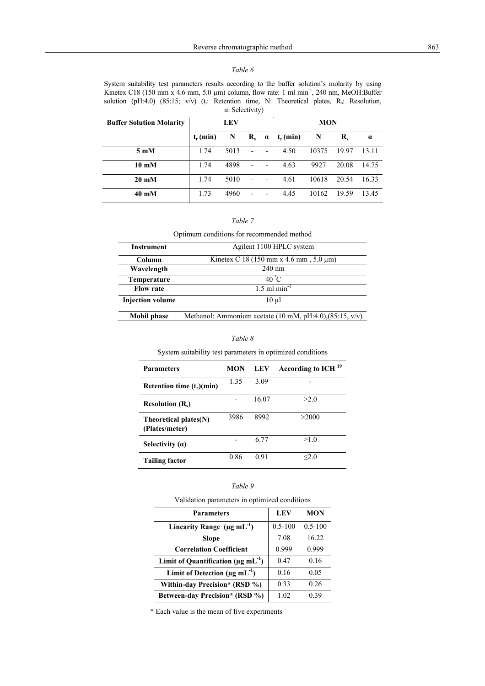## *Table 6*

System suitability test parameters results according to the buffer solution's molarity by using Kinetex C18 (150 mm x 4.6 mm, 5.0 µm) column, flow rate: 1 ml min<sup>-1</sup>, 240 nm, MeOH:Buffer solution (pH:4.0) (85:15; v/v) (t<sub>r</sub>: Retention time, N: Theoretical plates, R<sub>s</sub>: Resolution, α: Selectivity)

| <b>Buffer Solution Molarity</b> | LEV         |      |                          |                          | <b>MON</b>  |       |                         |          |
|---------------------------------|-------------|------|--------------------------|--------------------------|-------------|-------|-------------------------|----------|
|                                 | $t_r$ (min) | N    | $\mathbf{R}_{\epsilon}$  | $\alpha$                 | $t_r$ (min) | N     | $\mathbf{R}_{\epsilon}$ | $\alpha$ |
| $5 \text{ mM}$                  | 1.74        | 5013 | $\overline{\phantom{a}}$ | $\overline{\phantom{a}}$ | 4.50        | 10375 | 19.97                   | 13.11    |
| $10 \text{ }\mathrm{m}M$        | 1.74        | 4898 | $\overline{\phantom{a}}$ |                          | 4.63        | 9927  | 20.08                   | 14.75    |
| $20 \text{ mM}$                 | 1.74        | 5010 | $\overline{\phantom{a}}$ |                          | 4.61        | 10618 | 20.54                   | 16.33    |
| $40 \text{ }\mathrm{mM}$        | 1.73        | 4960 | $\overline{\phantom{0}}$ |                          | 4.45        | 10162 | 19.59                   | 13.45    |

|--|--|

Optimum conditions for recommended method

| <b>Instrument</b>       | Agilent 1100 HPLC system                                   |
|-------------------------|------------------------------------------------------------|
| <b>Column</b>           | Kinetex C 18 (150 mm x 4.6 mm, $5.0 \mu m$ )               |
| Wavelength              | $240 \text{ nm}$                                           |
| Temperature             | $40^\circ$ C                                               |
| <b>Flow rate</b>        | $1.5$ ml min <sup>-1</sup>                                 |
| <b>Injection volume</b> | $10 \mu$                                                   |
| <b>Mobil phase</b>      | Methanol: Ammonium acetate (10 mM, pH:4.0), $(85:15, v/v)$ |

## *Table 8*

System suitability test parameters in optimized conditions

| <b>Parameters</b>                          | MON  | LEV   | According to ICH <sup>19</sup> |
|--------------------------------------------|------|-------|--------------------------------|
| Retention time $(t_r)(min)$                | 1.35 | 3.09  |                                |
| <b>Resolution <math>(Rs)</math></b>        |      | 16.07 | >2.0                           |
| Theoretical plates $(N)$<br>(Plates/meter) | 3986 | 8992  | >2000                          |
| Selectivity $(a)$                          |      | 6.77  | >1.0                           |
| <b>Tailing factor</b>                      | 0.86 | 0.91  | $<$ 2.0                        |

## *Table 9*

Validation parameters in optimized conditions

| <b>Parameters</b>                                    | LEV         | <b>MON</b>  |
|------------------------------------------------------|-------------|-------------|
| Linearity Range $(\mu g \, mL^{-1})$                 | $0.5 - 100$ | $0.5 - 100$ |
| <b>Slope</b>                                         | 7.08        | 16.22       |
| <b>Correlation Coefficient</b>                       | 0.999       | 0.999       |
| Limit of Quantification ( $\mu$ g mL <sup>-1</sup> ) | 0.47        | 0.16        |
| Limit of Detection ( $\mu$ g mL <sup>-1</sup> )      | 0.16        | 0.05        |
| Within-day Precision* (RSD %)                        | 0.33        | 0.26        |
| Between-day Precision* (RSD %)                       | 1.02        | 0.39        |

\* Each value is the mean of five experiments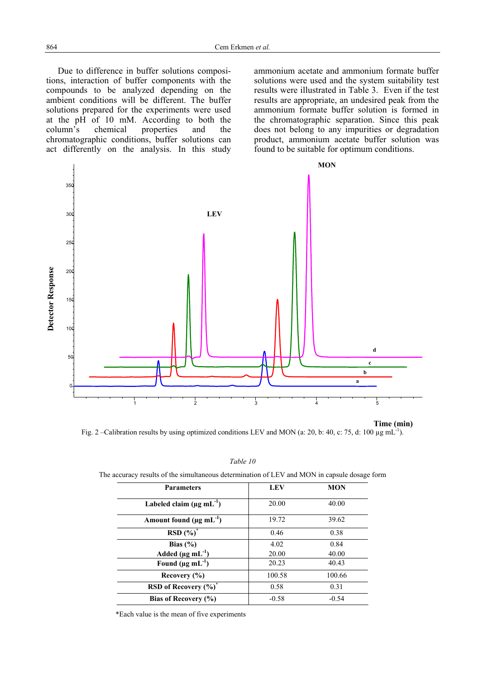Due to difference in buffer solutions compositions, interaction of buffer components with the compounds to be analyzed depending on the ambient conditions will be different. The buffer solutions prepared for the experiments were used at the pH of 10 mM. According to both the column's chemical properties and the chromatographic conditions, buffer solutions can act differently on the analysis. In this study

ammonium acetate and ammonium formate buffer solutions were used and the system suitability test results were illustrated in Table 3. Even if the test results are appropriate, an undesired peak from the ammonium formate buffer solution is formed in the chromatographic separation. Since this peak does not belong to any impurities or degradation product, ammonium acetate buffer solution was found to be suitable for optimum conditions.



Fig. 2 –Calibration results by using optimized conditions LEV and MON (a: 20, b: 40, c: 75, d: 100 µg mL<sup>-1</sup>).

*Table 10*

The accuracy results of the simultaneous determination of LEV and MON in capsule dosage form

| <b>Parameters</b>                          | <b>LEV</b> | <b>MON</b> |
|--------------------------------------------|------------|------------|
| Labeled claim ( $\mu$ g mL <sup>-1</sup> ) | 20.00      | 40.00      |
| Amount found $(\mu g \, mL^{-1})$          | 19.72      | 39.62      |
| $RSD(%)^*$                                 | 0.46       | 0.38       |
| Bias $(\% )$                               | 4.02       | 0.84       |
| Added ( $\mu$ g mL $^{-1}$ )               | 20.00      | 40.00      |
| Found ( $\mu$ g mL <sup>-1</sup> )         | 20.23      | 40.43      |
| Recovery $(\% )$                           | 100.58     | 100.66     |
| RSD of Recovery (%)*                       | 0.58       | 0.31       |
| Bias of Recovery (%)                       | $-0.58$    | $-0.54$    |

\*Each value is the mean of five experiments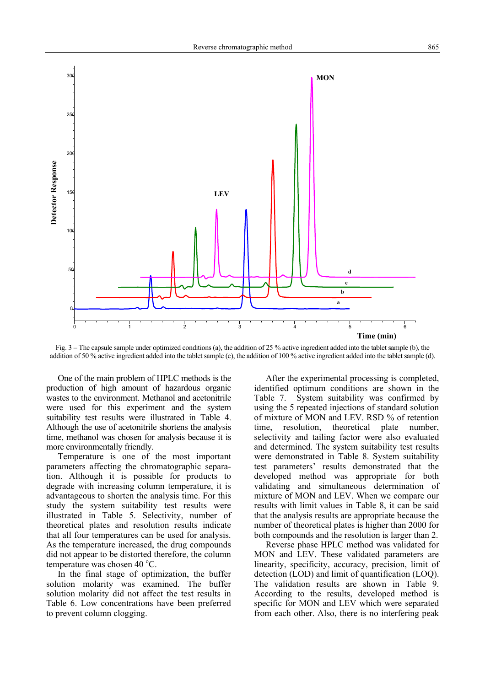

Fig. 3 – The capsule sample under optimized conditions (a), the addition of 25 % active ingredient added into the tablet sample (b), the addition of 50 % active ingredient added into the tablet sample (c), the addition of 100 % active ingredient added into the tablet sample (d).

One of the main problem of HPLC methods is the production of high amount of hazardous organic wastes to the environment. Methanol and acetonitrile were used for this experiment and the system suitability test results were illustrated in Table 4. Although the use of acetonitrile shortens the analysis time, methanol was chosen for analysis because it is more environmentally friendly.

Temperature is one of the most important parameters affecting the chromatographic separation. Although it is possible for products to degrade with increasing column temperature, it is advantageous to shorten the analysis time. For this study the system suitability test results were illustrated in Table 5. Selectivity, number of theoretical plates and resolution results indicate that all four temperatures can be used for analysis. As the temperature increased, the drug compounds did not appear to be distorted therefore, the column temperature was chosen 40  $^{\circ}$ C.

In the final stage of optimization, the buffer solution molarity was examined. The buffer solution molarity did not affect the test results in Table 6. Low concentrations have been preferred to prevent column clogging.

After the experimental processing is completed, identified optimum conditions are shown in the Table 7. System suitability was confirmed by using the 5 repeated injections of standard solution of mixture of MON and LEV. RSD % of retention time, resolution, theoretical plate number, selectivity and tailing factor were also evaluated and determined. The system suitability test results were demonstrated in Table 8. System suitability test parameters' results demonstrated that the developed method was appropriate for both validating and simultaneous determination of mixture of MON and LEV. When we compare our results with limit values in Table 8, it can be said that the analysis results are appropriate because the number of theoretical plates is higher than 2000 for both compounds and the resolution is larger than 2.

Reverse phase HPLC method was validated for MON and LEV. These validated parameters are linearity, specificity, accuracy, precision, limit of detection (LOD) and limit of quantification (LOQ). The validation results are shown in Table 9. According to the results, developed method is specific for MON and LEV which were separated from each other. Also, there is no interfering peak